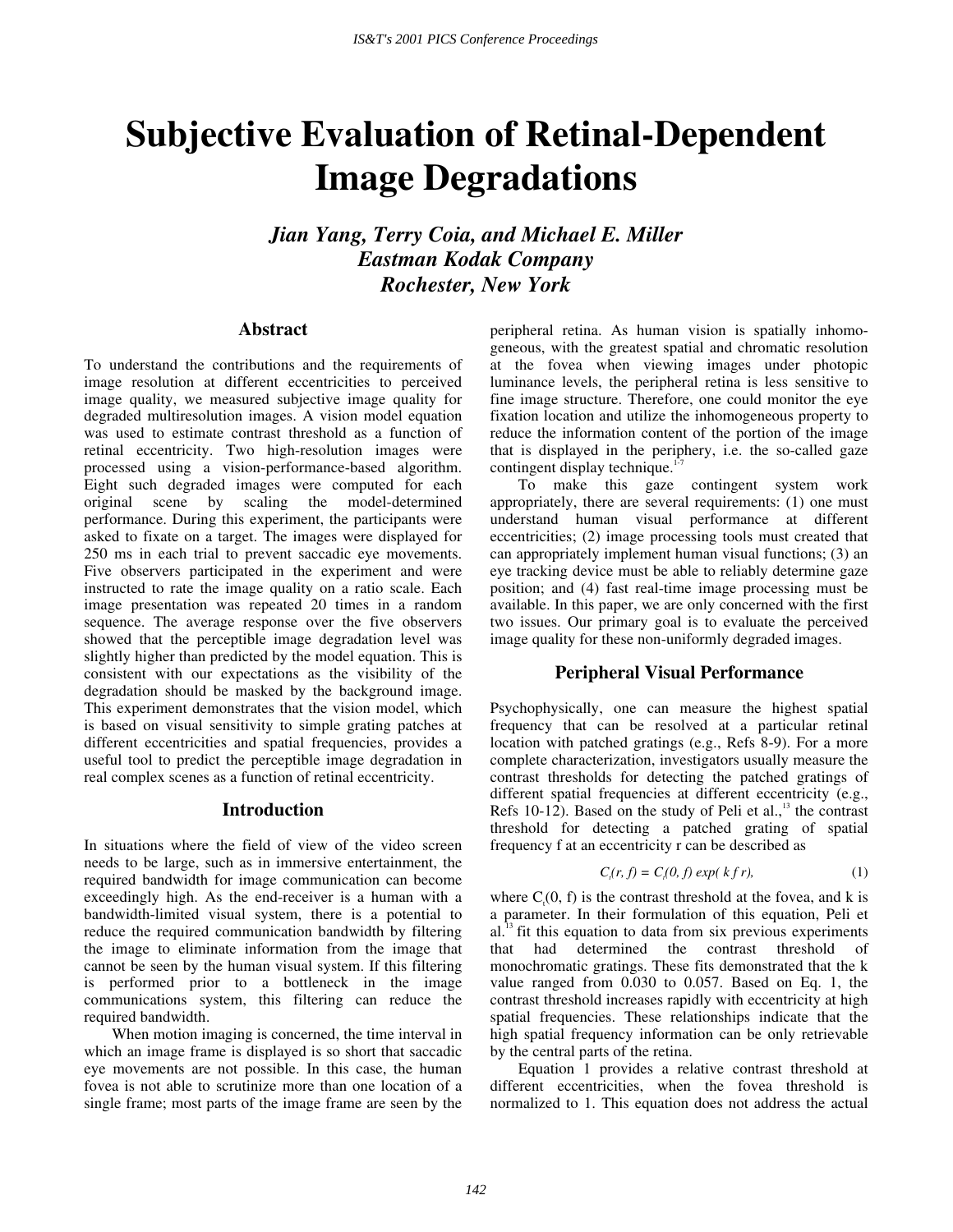# **Subjective Evaluation of Retinal-Dependent Image Degradations**

*Jian Yang, Terry Coia, and Michael E. Miller Eastman Kodak Company Rochester, New York* 

# **Abstract**

To understand the contributions and the requirements of image resolution at different eccentricities to perceived image quality, we measured subjective image quality for degraded multiresolution images. A vision model equation was used to estimate contrast threshold as a function of retinal eccentricity. Two high-resolution images were processed using a vision-performance-based algorithm. Eight such degraded images were computed for each original scene by scaling the model-determined performance. During this experiment, the participants were asked to fixate on a target. The images were displayed for 250 ms in each trial to prevent saccadic eye movements. Five observers participated in the experiment and were instructed to rate the image quality on a ratio scale. Each image presentation was repeated 20 times in a random sequence. The average response over the five observers showed that the perceptible image degradation level was slightly higher than predicted by the model equation. This is consistent with our expectations as the visibility of the degradation should be masked by the background image. This experiment demonstrates that the vision model, which is based on visual sensitivity to simple grating patches at different eccentricities and spatial frequencies, provides a useful tool to predict the perceptible image degradation in real complex scenes as a function of retinal eccentricity.

## **Introduction**

In situations where the field of view of the video screen needs to be large, such as in immersive entertainment, the required bandwidth for image communication can become exceedingly high. As the end-receiver is a human with a bandwidth-limited visual system, there is a potential to reduce the required communication bandwidth by filtering the image to eliminate information from the image that cannot be seen by the human visual system. If this filtering is performed prior to a bottleneck in the image communications system, this filtering can reduce the required bandwidth.

When motion imaging is concerned, the time interval in which an image frame is displayed is so short that saccadic eye movements are not possible. In this case, the human fovea is not able to scrutinize more than one location of a single frame; most parts of the image frame are seen by the

peripheral retina. As human vision is spatially inhomogeneous, with the greatest spatial and chromatic resolution at the fovea when viewing images under photopic luminance levels, the peripheral retina is less sensitive to fine image structure. Therefore, one could monitor the eye fixation location and utilize the inhomogeneous property to reduce the information content of the portion of the image that is displayed in the periphery, i.e. the so-called gaze contingent display technique.<sup>1</sup>

To make this gaze contingent system work appropriately, there are several requirements: (1) one must understand human visual performance at different eccentricities; (2) image processing tools must created that can appropriately implement human visual functions; (3) an eye tracking device must be able to reliably determine gaze position; and (4) fast real-time image processing must be available. In this paper, we are only concerned with the first two issues. Our primary goal is to evaluate the perceived image quality for these non-uniformly degraded images.

## **Peripheral Visual Performance**

Psychophysically, one can measure the highest spatial frequency that can be resolved at a particular retinal location with patched gratings (e.g., Refs 8-9). For a more complete characterization, investigators usually measure the contrast thresholds for detecting the patched gratings of different spatial frequencies at different eccentricity (e.g., Refs 10-12). Based on the study of Peli et al., $13$  the contrast threshold for detecting a patched grating of spatial frequency f at an eccentricity r can be described as

$$
C_i(r, f) = C_i(0, f) \exp(k f r), \qquad (1)
$$

where  $C_1(0, f)$  is the contrast threshold at the fovea, and k is a parameter. In their formulation of this equation, Peli et  $al.<sup>13</sup>$  fit this equation to data from six previous experiments that had determined the contrast threshold of monochromatic gratings. These fits demonstrated that the k value ranged from 0.030 to 0.057. Based on Eq. 1, the contrast threshold increases rapidly with eccentricity at high spatial frequencies. These relationships indicate that the high spatial frequency information can be only retrievable by the central parts of the retina.

Equation 1 provides a relative contrast threshold at different eccentricities, when the fovea threshold is normalized to 1. This equation does not address the actual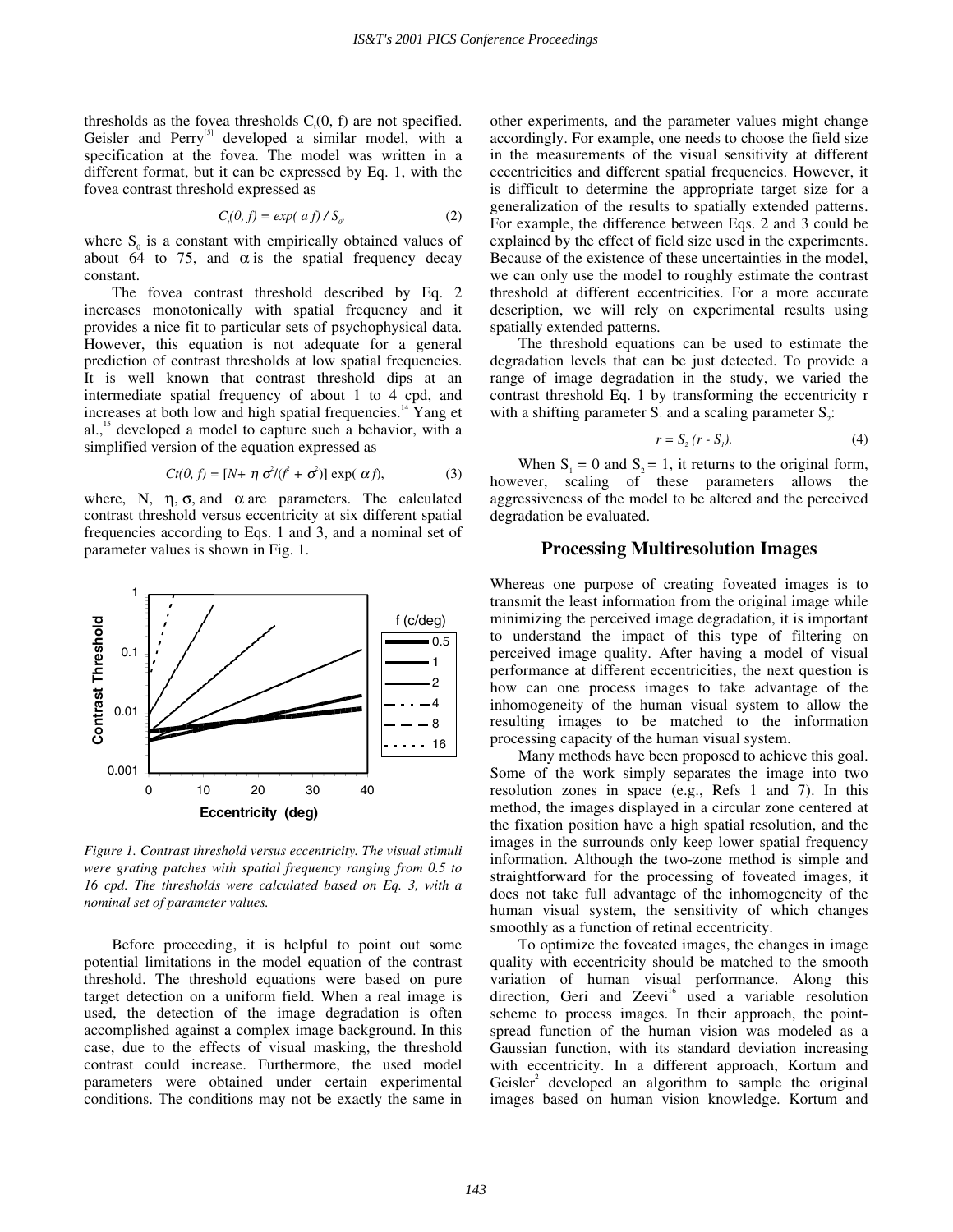thresholds as the fovea thresholds  $C<sub>i</sub>(0, f)$  are not specified. Geisler and Perry<sup>[5]</sup> developed a similar model, with a specification at the fovea. The model was written in a different format, but it can be expressed by Eq. 1, with the fovea contrast threshold expressed as

$$
C_i(0, f) = exp(\,af) / S_o \tag{2}
$$

where  $S_0$  is a constant with empirically obtained values of about 64 to 75, and  $\alpha$  is the spatial frequency decay constant.

The fovea contrast threshold described by Eq. 2 increases monotonically with spatial frequency and it provides a nice fit to particular sets of psychophysical data. However, this equation is not adequate for a general prediction of contrast thresholds at low spatial frequencies. It is well known that contrast threshold dips at an intermediate spatial frequency of about 1 to 4 cpd, and increases at both low and high spatial frequencies. $14$  Yang et al.,<sup>15</sup> developed a model to capture such a behavior, with a simplified version of the equation expressed as

$$
Ct(0, f) = [N + \eta \sigma^2/(\dot{f} + \sigma^2)] \exp(\alpha f), \tag{3}
$$

where, N,  $\eta$ ,  $\sigma$ , and  $\alpha$  are parameters. The calculated contrast threshold versus eccentricity at six different spatial frequencies according to Eqs. 1 and 3, and a nominal set of parameter values is shown in Fig. 1.



*Figure 1. Contrast threshold versus eccentricity. The visual stimuli were grating patches with spatial frequency ranging from 0.5 to 16 cpd. The thresholds were calculated based on Eq. 3, with a nominal set of parameter values.* 

Before proceeding, it is helpful to point out some potential limitations in the model equation of the contrast threshold. The threshold equations were based on pure target detection on a uniform field. When a real image is used, the detection of the image degradation is often accomplished against a complex image background. In this case, due to the effects of visual masking, the threshold contrast could increase. Furthermore, the used model parameters were obtained under certain experimental conditions. The conditions may not be exactly the same in other experiments, and the parameter values might change accordingly. For example, one needs to choose the field size in the measurements of the visual sensitivity at different eccentricities and different spatial frequencies. However, it is difficult to determine the appropriate target size for a generalization of the results to spatially extended patterns. For example, the difference between Eqs. 2 and 3 could be explained by the effect of field size used in the experiments. Because of the existence of these uncertainties in the model, we can only use the model to roughly estimate the contrast threshold at different eccentricities. For a more accurate description, we will rely on experimental results using spatially extended patterns.

The threshold equations can be used to estimate the degradation levels that can be just detected. To provide a range of image degradation in the study, we varied the contrast threshold Eq. 1 by transforming the eccentricity r with a shifting parameter  $S_1$  and a scaling parameter  $S_2$ :

$$
r = S_2(r - S_1). \tag{4}
$$

When  $S_1 = 0$  and  $S_2 = 1$ , it returns to the original form, however, scaling of these parameters allows the aggressiveness of the model to be altered and the perceived degradation be evaluated.

## **Processing Multiresolution Images**

Whereas one purpose of creating foveated images is to transmit the least information from the original image while minimizing the perceived image degradation, it is important to understand the impact of this type of filtering on perceived image quality. After having a model of visual performance at different eccentricities, the next question is how can one process images to take advantage of the inhomogeneity of the human visual system to allow the resulting images to be matched to the information processing capacity of the human visual system.

 Many methods have been proposed to achieve this goal. Some of the work simply separates the image into two resolution zones in space (e.g., Refs 1 and 7). In this method, the images displayed in a circular zone centered at the fixation position have a high spatial resolution, and the images in the surrounds only keep lower spatial frequency information. Although the two-zone method is simple and straightforward for the processing of foveated images, it does not take full advantage of the inhomogeneity of the human visual system, the sensitivity of which changes smoothly as a function of retinal eccentricity.

 To optimize the foveated images, the changes in image quality with eccentricity should be matched to the smooth variation of human visual performance. Along this direction, Geri and Zeevi<sup>16</sup> used a variable resolution scheme to process images. In their approach, the pointspread function of the human vision was modeled as a Gaussian function, with its standard deviation increasing with eccentricity. In a different approach, Kortum and Geisler<sup>2</sup> developed an algorithm to sample the original images based on human vision knowledge. Kortum and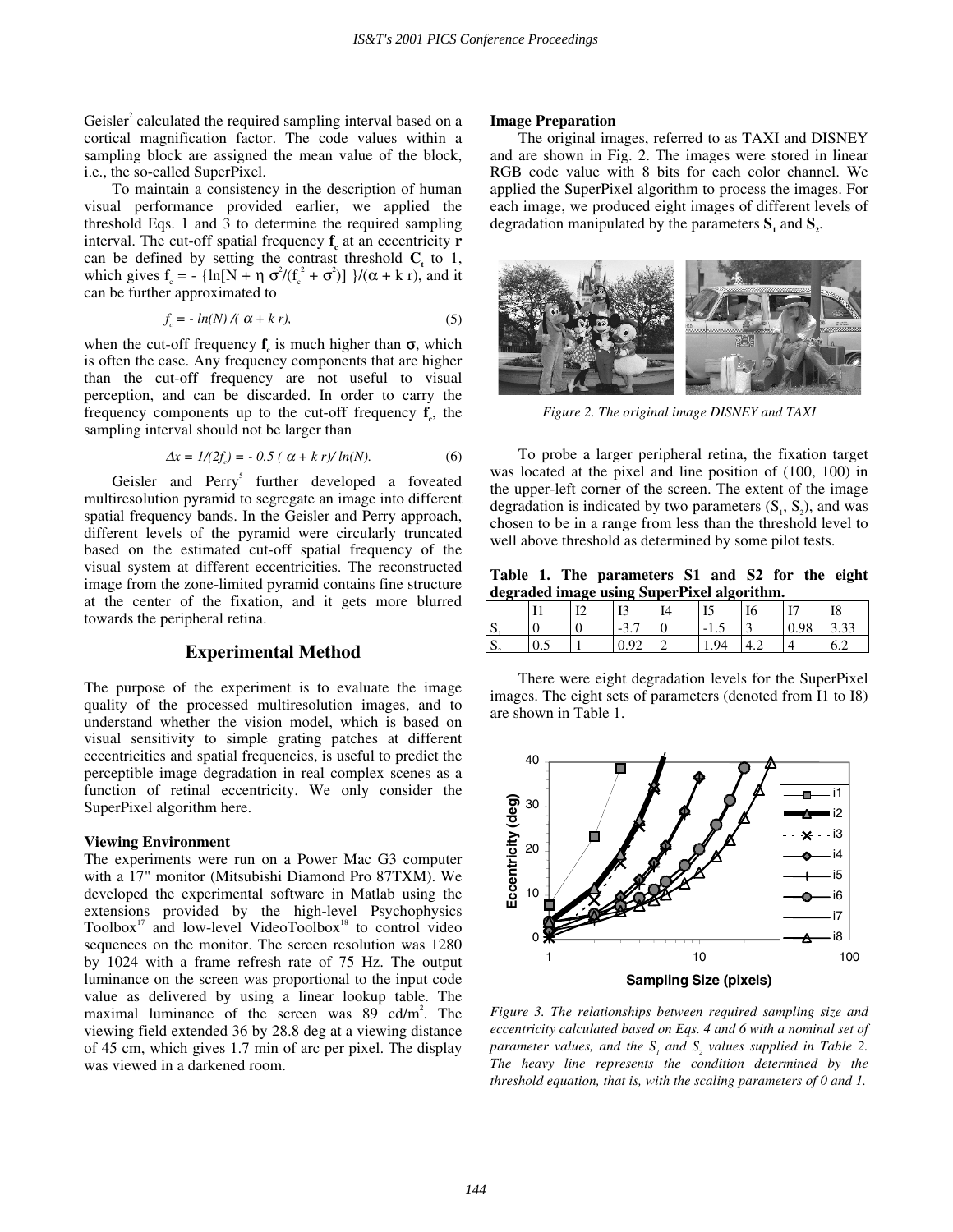Geisler<sup>2</sup> calculated the required sampling interval based on a cortical magnification factor. The code values within a sampling block are assigned the mean value of the block, i.e., the so-called SuperPixel.

To maintain a consistency in the description of human visual performance provided earlier, we applied the threshold Eqs. 1 and 3 to determine the required sampling interval. The cut-off spatial frequency  $f_c$  at an eccentricity **r** can be defined by setting the contrast threshold  $C<sub>t</sub>$  to 1, which gives  $f_c = -\{\ln[N + \eta \sigma^2/(f_c^2 + \sigma^2)]\}/(\alpha + k \tau)$ , and it can be further approximated to

$$
f_c = -\ln(N) / (\alpha + k r),\tag{5}
$$

when the cut-off frequency  $f_c$  is much higher than  $\sigma$ , which is often the case. Any frequency components that are higher than the cut-off frequency are not useful to visual perception, and can be discarded. In order to carry the frequency components up to the cut-off frequency  $f_c$ , the sampling interval should not be larger than

$$
\Delta x = I/(2f_c) = -0.5 (\alpha + k r)/\ln(N). \tag{6}
$$

Geisler and Perry<sup>5</sup> further developed a foveated multiresolution pyramid to segregate an image into different spatial frequency bands. In the Geisler and Perry approach, different levels of the pyramid were circularly truncated based on the estimated cut-off spatial frequency of the visual system at different eccentricities. The reconstructed image from the zone-limited pyramid contains fine structure at the center of the fixation, and it gets more blurred towards the peripheral retina.

# **Experimental Method**

The purpose of the experiment is to evaluate the image quality of the processed multiresolution images, and to understand whether the vision model, which is based on visual sensitivity to simple grating patches at different eccentricities and spatial frequencies, is useful to predict the perceptible image degradation in real complex scenes as a function of retinal eccentricity. We only consider the SuperPixel algorithm here.

#### **Viewing Environment**

The experiments were run on a Power Mac G3 computer with a 17" monitor (Mitsubishi Diamond Pro 87TXM). We developed the experimental software in Matlab using the extensions provided by the high-level Psychophysics Toolbox $17$  and low-level VideoToolbox $18$  to control video sequences on the monitor. The screen resolution was 1280 by 1024 with a frame refresh rate of 75 Hz. The output luminance on the screen was proportional to the input code value as delivered by using a linear lookup table. The maximal luminance of the screen was  $89 \text{ cd/m}^2$ . The viewing field extended 36 by 28.8 deg at a viewing distance of 45 cm, which gives 1.7 min of arc per pixel. The display was viewed in a darkened room.

## **Image Preparation**

The original images, referred to as TAXI and DISNEY and are shown in Fig. 2. The images were stored in linear RGB code value with 8 bits for each color channel. We applied the SuperPixel algorithm to process the images. For each image, we produced eight images of different levels of degradation manipulated by the parameters  $S_1$  and  $S_2$ .



*Figure 2. The original image DISNEY and TAXI* 

To probe a larger peripheral retina, the fixation target was located at the pixel and line position of (100, 100) in the upper-left corner of the screen. The extent of the image degradation is indicated by two parameters  $(S_1, S_2)$ , and was chosen to be in a range from less than the threshold level to well above threshold as determined by some pilot tests.

**Table 1. The parameters S1 and S2 for the eight degraded image using SuperPixel algorithm.** 

|                   | T <sub>1</sub> |   | тη<br>⊥                                         | Δ | IJ           | 10 | т.,         | I8          |
|-------------------|----------------|---|-------------------------------------------------|---|--------------|----|-------------|-------------|
| $\sqrt{2}$<br>ັ   |                | ν | -<br>$\sim$<br>$\overline{\phantom{0}}$<br>ن د٠ | ν | $-1$<br>ر. 1 | ◡  | .0c<br>U.Y8 | $\sim$<br>. |
| $\sqrt{2}$<br>IJ. | U.S            |   | ◡.                                              |   | ۹4           | −… |             | 6.2         |

There were eight degradation levels for the SuperPixel images. The eight sets of parameters (denoted from I1 to I8) are shown in Table 1.



*Figure 3. The relationships between required sampling size and eccentricity calculated based on Eqs. 4 and 6 with a nominal set of*   $\alpha$  *parameter values, and the*  $S_i$  *and*  $S_2$  *values supplied in Table 2. The heavy line represents the condition determined by the threshold equation, that is, with the scaling parameters of 0 and 1.*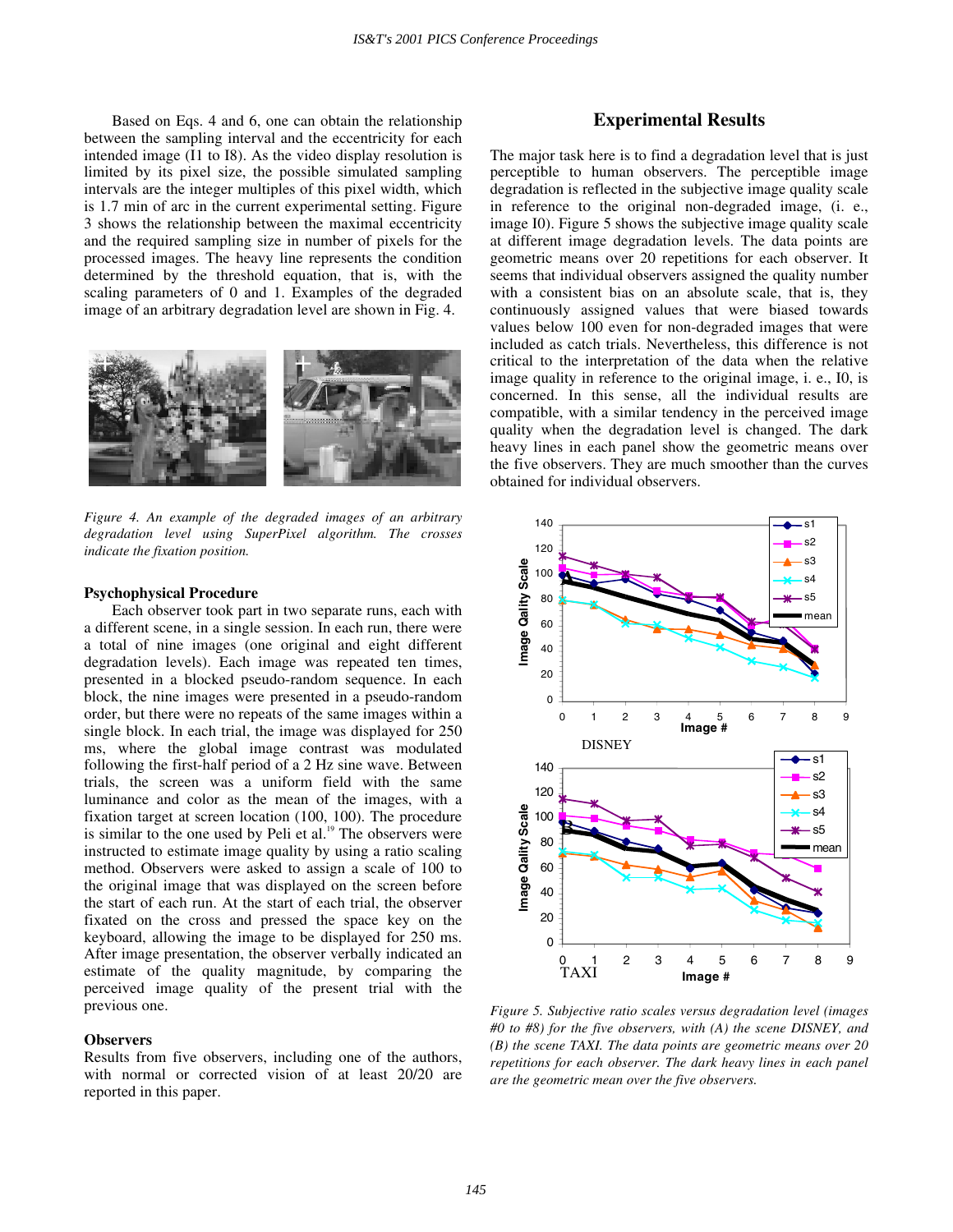Based on Eqs. 4 and 6, one can obtain the relationship between the sampling interval and the eccentricity for each intended image (I1 to I8). As the video display resolution is limited by its pixel size, the possible simulated sampling intervals are the integer multiples of this pixel width, which is 1.7 min of arc in the current experimental setting. Figure 3 shows the relationship between the maximal eccentricity and the required sampling size in number of pixels for the processed images. The heavy line represents the condition determined by the threshold equation, that is, with the scaling parameters of 0 and 1. Examples of the degraded image of an arbitrary degradation level are shown in Fig. 4.



*Figure 4. An example of the degraded images of an arbitrary degradation level using SuperPixel algorithm. The crosses indicate the fixation position.* 

#### **Psychophysical Procedure**

Each observer took part in two separate runs, each with a different scene, in a single session. In each run, there were a total of nine images (one original and eight different degradation levels). Each image was repeated ten times, presented in a blocked pseudo-random sequence. In each block, the nine images were presented in a pseudo-random order, but there were no repeats of the same images within a single block. In each trial, the image was displayed for 250 ms, where the global image contrast was modulated following the first-half period of a 2 Hz sine wave. Between trials, the screen was a uniform field with the same luminance and color as the mean of the images, with a fixation target at screen location (100, 100). The procedure is similar to the one used by Peli et al. $19$  The observers were instructed to estimate image quality by using a ratio scaling method. Observers were asked to assign a scale of 100 to the original image that was displayed on the screen before the start of each run. At the start of each trial, the observer fixated on the cross and pressed the space key on the keyboard, allowing the image to be displayed for 250 ms. After image presentation, the observer verbally indicated an estimate of the quality magnitude, by comparing the perceived image quality of the present trial with the previous one.

#### **Observers**

Results from five observers, including one of the authors, with normal or corrected vision of at least 20/20 are reported in this paper.

# **Experimental Results**

The major task here is to find a degradation level that is just perceptible to human observers. The perceptible image degradation is reflected in the subjective image quality scale in reference to the original non-degraded image, (i. e., image I0). Figure 5 shows the subjective image quality scale at different image degradation levels. The data points are geometric means over 20 repetitions for each observer. It seems that individual observers assigned the quality number with a consistent bias on an absolute scale, that is, they continuously assigned values that were biased towards values below 100 even for non-degraded images that were included as catch trials. Nevertheless, this difference is not critical to the interpretation of the data when the relative image quality in reference to the original image, i. e., I0, is concerned. In this sense, all the individual results are compatible, with a similar tendency in the perceived image quality when the degradation level is changed. The dark heavy lines in each panel show the geometric means over the five observers. They are much smoother than the curves obtained for individual observers.



*Figure 5. Subjective ratio scales versus degradation level (images #0 to #8) for the five observers, with (A) the scene DISNEY, and (B) the scene TAXI. The data points are geometric means over 20 repetitions for each observer. The dark heavy lines in each panel are the geometric mean over the five observers.*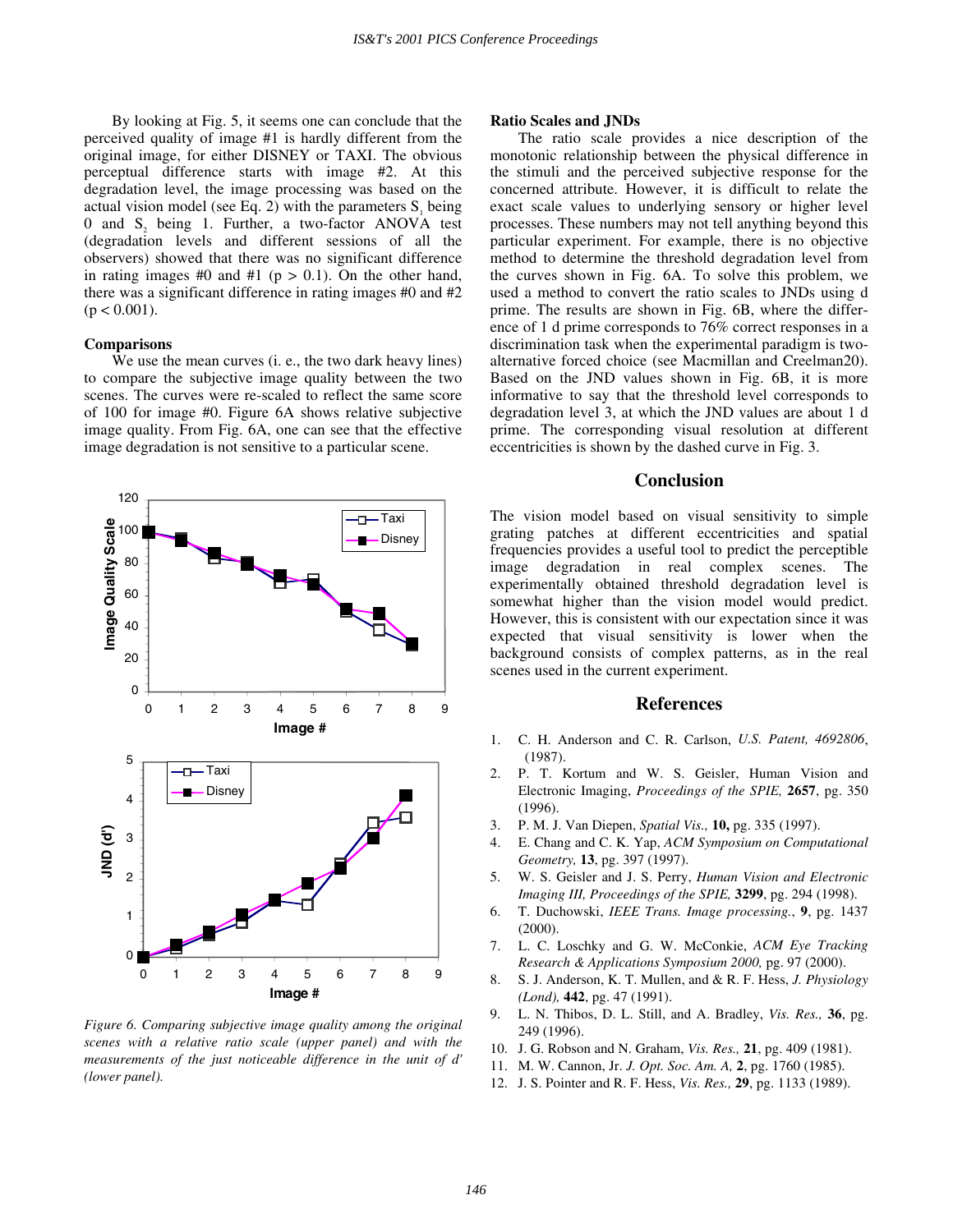By looking at Fig. 5, it seems one can conclude that the perceived quality of image #1 is hardly different from the original image, for either DISNEY or TAXI. The obvious perceptual difference starts with image #2. At this degradation level, the image processing was based on the actual vision model (see Eq. 2) with the parameters  $S<sub>i</sub>$  being 0 and S<sub>2</sub> being 1. Further, a two-factor ANOVA test (degradation levels and different sessions of all the observers) showed that there was no significant difference in rating images #0 and #1 ( $p > 0.1$ ). On the other hand, there was a significant difference in rating images #0 and #2  $(p < 0.001)$ .

## **Comparisons**

We use the mean curves (i. e., the two dark heavy lines) to compare the subjective image quality between the two scenes. The curves were re-scaled to reflect the same score of 100 for image #0. Figure 6A shows relative subjective image quality. From Fig. 6A, one can see that the effective image degradation is not sensitive to a particular scene.



*Figure 6. Comparing subjective image quality among the original scenes with a relative ratio scale (upper panel) and with the measurements of the just noticeable difference in the unit of d' (lower panel).* 

## **Ratio Scales and JNDs**

The ratio scale provides a nice description of the monotonic relationship between the physical difference in the stimuli and the perceived subjective response for the concerned attribute. However, it is difficult to relate the exact scale values to underlying sensory or higher level processes. These numbers may not tell anything beyond this particular experiment. For example, there is no objective method to determine the threshold degradation level from the curves shown in Fig. 6A. To solve this problem, we used a method to convert the ratio scales to JNDs using d prime. The results are shown in Fig. 6B, where the difference of 1 d prime corresponds to 76% correct responses in a discrimination task when the experimental paradigm is twoalternative forced choice (see Macmillan and Creelman20). Based on the JND values shown in Fig. 6B, it is more informative to say that the threshold level corresponds to degradation level 3, at which the JND values are about 1 d prime. The corresponding visual resolution at different eccentricities is shown by the dashed curve in Fig. 3.

## **Conclusion**

The vision model based on visual sensitivity to simple grating patches at different eccentricities and spatial frequencies provides a useful tool to predict the perceptible image degradation in real complex scenes. The experimentally obtained threshold degradation level is somewhat higher than the vision model would predict. However, this is consistent with our expectation since it was expected that visual sensitivity is lower when the background consists of complex patterns, as in the real scenes used in the current experiment.

## **References**

- 1. C. H. Anderson and C. R. Carlson, *U.S. Patent, 4692806*, (1987).
- 2. P. T. Kortum and W. S. Geisler, Human Vision and Electronic Imaging, *Proceedings of the SPIE,* **2657**, pg. 350 (1996).
- 3. P. M. J. Van Diepen, *Spatial Vis.,* **10,** pg. 335 (1997).
- 4. E. Chang and C. K. Yap, *ACM Symposium on Computational Geometry,* **13**, pg. 397 (1997).
- 5. W. S. Geisler and J. S. Perry, *Human Vision and Electronic Imaging III, Proceedings of the SPIE,* **3299**, pg. 294 (1998).
- 6. T. Duchowski, *IEEE Trans. Image processing.*, **9**, pg. 1437 (2000).
- 7. L. C. Loschky and G. W. McConkie, *ACM Eye Tracking Research & Applications Symposium 2000,* pg. 97 (2000).
- 8. S. J. Anderson, K. T. Mullen, and & R. F. Hess, *J. Physiology (Lond),* **442**, pg. 47 (1991).
- 9. L. N. Thibos, D. L. Still, and A. Bradley, *Vis. Res.,* **36**, pg. 249 (1996).
- 10. J. G. Robson and N. Graham, *Vis. Res.,* **21**, pg. 409 (1981).
- 11. M. W. Cannon, Jr. *J. Opt. Soc. Am. A,* **2**, pg. 1760 (1985).
- 12. J. S. Pointer and R. F. Hess, *Vis. Res.,* **29**, pg. 1133 (1989).